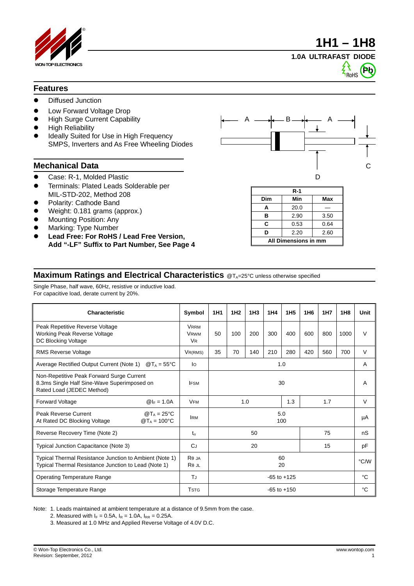



## **1.0A ULTRAFAST DIODE**



## **Features**

- Diffused Junction
- Low Forward Voltage Drop
- High Surge Current Capability
- High Reliability
- Ideally Suited for Use in High Frequency SMPS, Inverters and As Free Wheeling Diodes

- 
- Terminals: Plated Leads Solderable per MIL-STD-202, Method 208
- Polarity: Cathode Band
- Weight: 0.181 grams (approx.)
- Mounting Position: Any
- Marking: Type Number
- **Lead Free: For RoHS / Lead Free Version, Add "-LF" Suffix to Part Number, See Page 4**



| $R-1$                |      |      |  |  |  |
|----------------------|------|------|--|--|--|
| Dim                  | Min  | Max  |  |  |  |
| A                    | 20.0 |      |  |  |  |
| в                    | 2.90 | 3.50 |  |  |  |
| C                    | 0.53 | 0.64 |  |  |  |
| ח                    | 2.20 | 2.60 |  |  |  |
| All Dimensions in mm |      |      |  |  |  |

## **Maximum Ratings and Electrical Characteristics** @T<sub>A</sub>=25°C unless otherwise specified

Single Phase, half wave, 60Hz, resistive or inductive load. For capacitive load, derate current by 20%.

| <b>Characteristic</b>                                                                                                 | Symbol                                             | 1H <sub>1</sub> | 1H <sub>2</sub> | 1H <sub>3</sub> | 1H4 | 1H <sub>5</sub> | 1H <sub>6</sub> | <b>1H7</b> | 1H8  | Unit   |
|-----------------------------------------------------------------------------------------------------------------------|----------------------------------------------------|-----------------|-----------------|-----------------|-----|-----------------|-----------------|------------|------|--------|
| Peak Repetitive Reverse Voltage<br>Working Peak Reverse Voltage<br>DC Blocking Voltage                                | <b>VRRM</b><br><b>VRWM</b><br><b>V<sub>R</sub></b> | 50              | 100             | 200             | 300 | 400             | 600             | 800        | 1000 | V      |
| <b>RMS Reverse Voltage</b>                                                                                            | VR(RMS)                                            | 35              | 70              | 140             | 210 | 280             | 420             | 560        | 700  | $\vee$ |
| Average Rectified Output Current (Note 1)<br>$\mathcal{D}T_A = 55^{\circ}C$                                           | lo                                                 | 1.0             |                 |                 |     |                 |                 | A          |      |        |
| Non-Repetitive Peak Forward Surge Current<br>8.3ms Single Half Sine-Wave Superimposed on<br>Rated Load (JEDEC Method) | <b>IFSM</b>                                        | 30              |                 |                 |     |                 | A               |            |      |        |
| <b>Forward Voltage</b><br>$@ _F = 1.0A$                                                                               | <b>VFM</b>                                         | 1.0<br>1.3      |                 | 1.7             |     | $\vee$          |                 |            |      |        |
| $\mathbf{Q}T_A = 25^{\circ}C$<br><b>Peak Reverse Current</b><br>At Rated DC Blocking Voltage<br>$@T_A = 100°C$        | <b>IRM</b>                                         | 5.0<br>100      |                 |                 |     |                 |                 | μA         |      |        |
| Reverse Recovery Time (Note 2)                                                                                        | $t_{rr}$                                           | 75<br>50        |                 |                 |     |                 |                 | nS         |      |        |
| Typical Junction Capacitance (Note 3)                                                                                 | <b>C</b> J                                         | 20<br>15        |                 |                 |     |                 |                 | pF         |      |        |
| Typical Thermal Resistance Junction to Ambient (Note 1)<br>Typical Thermal Resistance Junction to Lead (Note 1)       | R JA<br>$R_{\text{JL}}$                            | 60<br>20        |                 |                 |     |                 |                 |            | °C/W |        |
| <b>Operating Temperature Range</b>                                                                                    | TJ.                                                | $-65$ to $+125$ |                 |                 |     |                 |                 | °C         |      |        |
| Storage Temperature Range                                                                                             | <b>TSTG</b>                                        | $-65$ to $+150$ |                 |                 |     |                 |                 | °C         |      |        |

Note: 1. Leads maintained at ambient temperature at a distance of 9.5mm from the case.

2. Measured with  $I_F = 0.5A$ ,  $I_R = 1.0A$ ,  $I_{RR} = 0.25A$ .

3. Measured at 1.0 MHz and Applied Reverse Voltage of 4.0V D.C.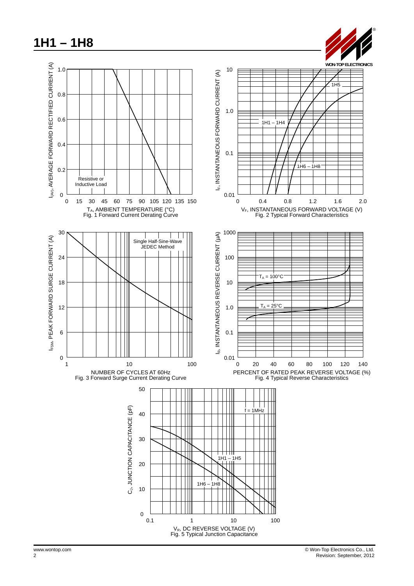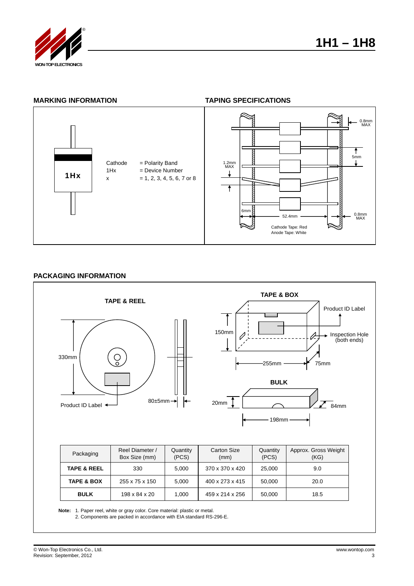

## **MARKING INFORMATION TAPING SPECIFICATIONS**



#### **PACKAGING INFORMATION**



**BULK**  $\begin{array}{|c|c|c|c|c|c|c|} \hline \end{array}$  198 x 84 x 20  $\begin{array}{|c|c|c|c|c|c|} \hline \end{array}$  1000  $\begin{array}{|c|c|c|c|c|c|} \hline \end{array}$  459 x 214 x 256  $\begin{array}{|c|c|c|c|c|} \hline \end{array}$  50,000  $\begin{array}{|c|c|c|c|c|c|} \hline \end{array}$  18.5

**Note:** 1. Paper reel, white or gray color. Core material: plastic or metal.

2. Components are packed in accordance with EIA standard RS-296-E.